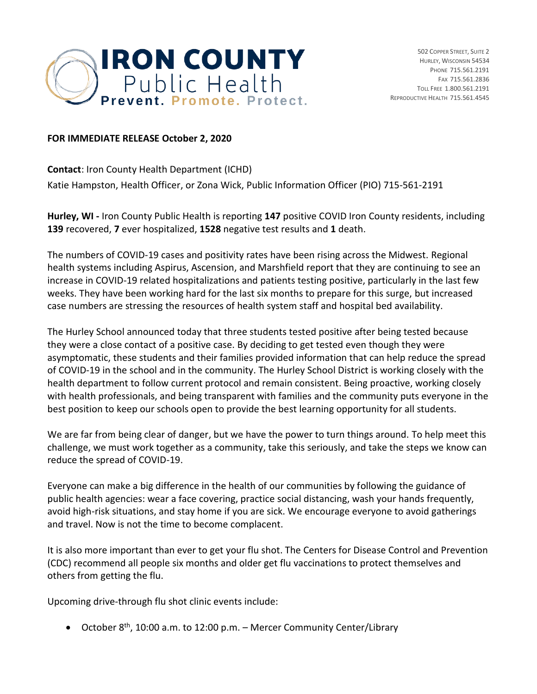

## **FOR IMMEDIATE RELEASE October 2, 2020**

**Contact**: Iron County Health Department (ICHD) Katie Hampston, Health Officer, or Zona Wick, Public Information Officer (PIO) 715-561-2191

**Hurley, WI -** Iron County Public Health is reporting **147** positive COVID Iron County residents, including **139** recovered, **7** ever hospitalized, **1528** negative test results and **1** death.

The numbers of COVID-19 cases and positivity rates have been rising across the Midwest. Regional health systems including Aspirus, Ascension, and Marshfield report that they are continuing to see an increase in COVID-19 related hospitalizations and patients testing positive, particularly in the last few weeks. They have been working hard for the last six months to prepare for this surge, but increased case numbers are stressing the resources of health system staff and hospital bed availability.

The Hurley School announced today that three students tested positive after being tested because they were a close contact of a positive case. By deciding to get tested even though they were asymptomatic, these students and their families provided information that can help reduce the spread of COVID-19 in the school and in the community. The Hurley School District is working closely with the health department to follow current protocol and remain consistent. Being proactive, working closely with health professionals, and being transparent with families and the community puts everyone in the best position to keep our schools open to provide the best learning opportunity for all students.

We are far from being clear of danger, but we have the power to turn things around. To help meet this challenge, we must work together as a community, take this seriously, and take the steps we know can reduce the spread of COVID-19.

Everyone can make a big difference in the health of our communities by following the guidance of public health agencies: wear a face covering, practice social distancing, wash your hands frequently, avoid high-risk situations, and stay home if you are sick. We encourage everyone to avoid gatherings and travel. Now is not the time to become complacent.

It is also more important than ever to get your flu shot. The Centers for Disease Control and Prevention (CDC) recommend all people six months and older get flu vaccinations to protect themselves and others from getting the flu.

Upcoming drive-through flu shot clinic events include:

• October 8<sup>th</sup>, 10:00 a.m. to 12:00 p.m. – Mercer Community Center/Library